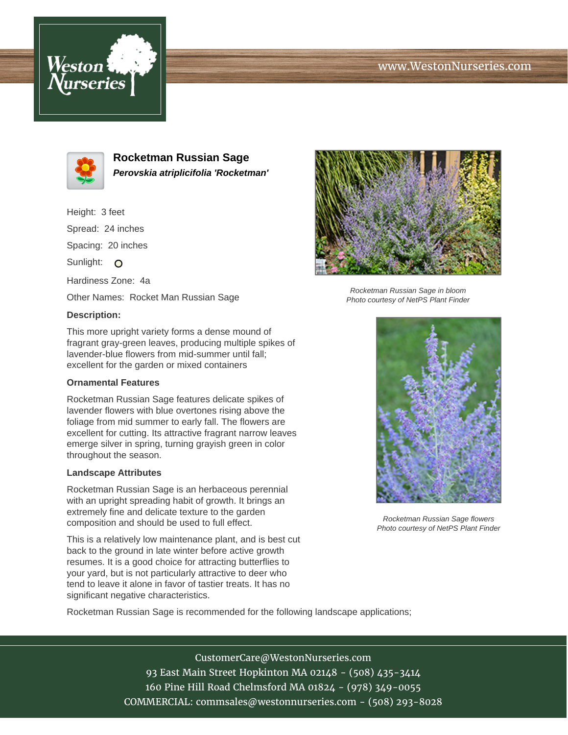# www.WestonNurseries.com





**Rocketman Russian Sage Perovskia atriplicifolia 'Rocketman'**

Height: 3 feet Spread: 24 inches Spacing: 20 inches Sunlight: O Hardiness Zone: 4a Other Names: Rocket Man Russian Sage

### **Description:**

This more upright variety forms a dense mound of fragrant gray-green leaves, producing multiple spikes of lavender-blue flowers from mid-summer until fall; excellent for the garden or mixed containers

## **Ornamental Features**

Rocketman Russian Sage features delicate spikes of lavender flowers with blue overtones rising above the foliage from mid summer to early fall. The flowers are excellent for cutting. Its attractive fragrant narrow leaves emerge silver in spring, turning grayish green in color throughout the season.

### **Landscape Attributes**

Rocketman Russian Sage is an herbaceous perennial with an upright spreading habit of growth. It brings an extremely fine and delicate texture to the garden composition and should be used to full effect.

This is a relatively low maintenance plant, and is best cut back to the ground in late winter before active growth resumes. It is a good choice for attracting butterflies to your yard, but is not particularly attractive to deer who tend to leave it alone in favor of tastier treats. It has no significant negative characteristics.



Rocketman Russian Sage in bloom Photo courtesy of NetPS Plant Finder



Rocketman Russian Sage flowers Photo courtesy of NetPS Plant Finder

Rocketman Russian Sage is recommended for the following landscape applications;

CustomerCare@WestonNurseries.com 93 East Main Street Hopkinton MA 02148 - (508) 435-3414 160 Pine Hill Road Chelmsford MA 01824 - (978) 349-0055 COMMERCIAL: commsales@westonnurseries.com - (508) 293-8028